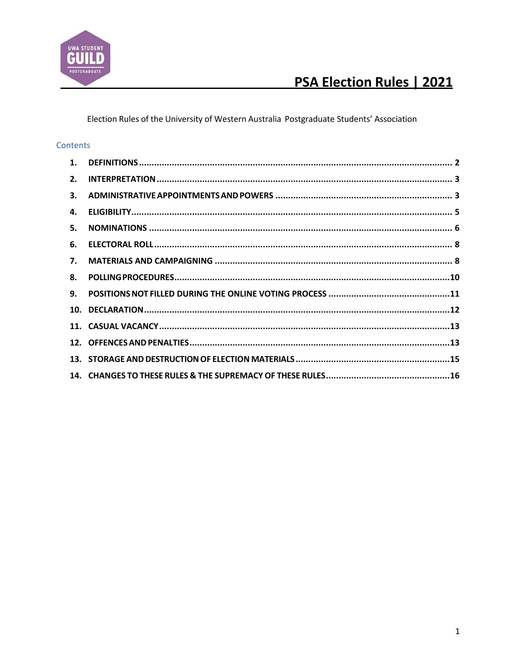

Election Rules of the University of Western Australia Postgraduate Students' Association

### Contents

| 1. |  |
|----|--|
|    |  |
| 2. |  |
| 3. |  |
| 4. |  |
| 5. |  |
| 6. |  |
| 7. |  |
| 8. |  |
| 9. |  |
|    |  |
|    |  |
|    |  |
|    |  |
|    |  |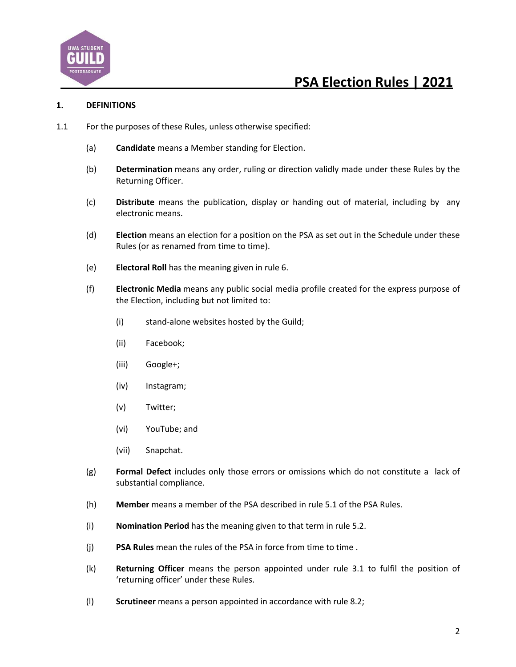

#### **1. DEFINITIONS**

- 1.1 For the purposes of these Rules, unless otherwise specified:
	- (a) **Candidate** means a Member standing for Election.
	- (b) **Determination** means any order, ruling or direction validly made under these Rules by the Returning Officer.
	- (c) **Distribute** means the publication, display or handing out of material, including by any electronic means.
	- (d) **Election** means an election for a position on the PSA as set out in the Schedule under these Rules (or as renamed from time to time).
	- (e) **Electoral Roll** has the meaning given in rule 6.
	- (f) **Electronic Media** means any public social media profile created for the express purpose of the Election, including but not limited to:
		- (i) stand-alone websites hosted by the Guild;
		- (ii) Facebook;
		- (iii) Google+;
		- (iv) Instagram;
		- (v) Twitter;
		- (vi) YouTube; and
		- (vii) Snapchat.
	- (g) **Formal Defect** includes only those errors or omissions which do not constitute a lack of substantial compliance.
	- (h) **Member** means a member of the PSA described in rule 5.1 of the PSA Rules.
	- (i) **Nomination Period** has the meaning given to that term in rule 5.2.
	- (j) **PSA Rules** mean the rules of the PSA in force from time to time .
	- (k) **Returning Officer** means the person appointed under rule 3.1 to fulfil the position of 'returning officer' under these Rules.
	- (l) **Scrutineer** means a person appointed in accordance with rule 8.2;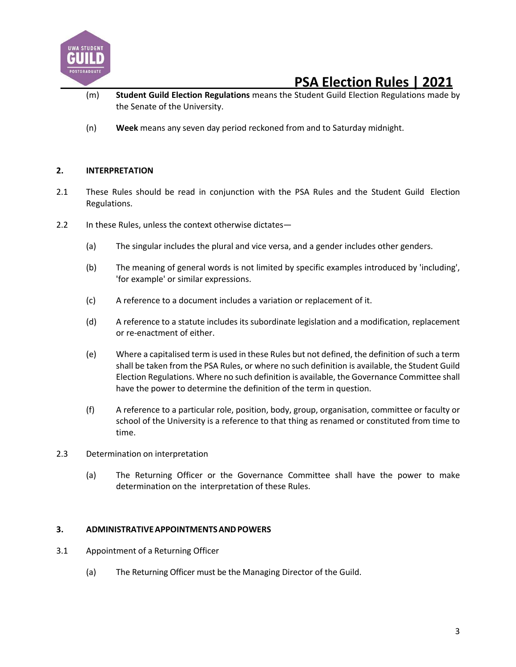

- (m) **Student Guild Election Regulations** means the Student Guild Election Regulations made by the Senate of the University.
- (n) **Week** means any seven day period reckoned from and to Saturday midnight.

### **2. INTERPRETATION**

- 2.1 These Rules should be read in conjunction with the PSA Rules and the Student Guild Election Regulations.
- 2.2 In these Rules, unless the context otherwise dictates—
	- (a) The singular includes the plural and vice versa, and a gender includes other genders.
	- (b) The meaning of general words is not limited by specific examples introduced by 'including', 'for example' or similar expressions.
	- (c) A reference to a document includes a variation or replacement of it.
	- (d) A reference to a statute includes its subordinate legislation and a modification, replacement or re-enactment of either.
	- (e) Where a capitalised term is used in these Rules but not defined, the definition of such a term shall be taken from the PSA Rules, or where no such definition is available, the Student Guild Election Regulations. Where no such definition is available, the Governance Committee shall have the power to determine the definition of the term in question.
	- (f) A reference to a particular role, position, body, group, organisation, committee or faculty or school of the University is a reference to that thing as renamed or constituted from time to time.
- 2.3 Determination on interpretation
	- (a) The Returning Officer or the Governance Committee shall have the power to make determination on the interpretation of these Rules.

### **3. ADMINISTRATIVEAPPOINTMENTSANDPOWERS**

- 3.1 Appointment of a Returning Officer
	- (a) The Returning Officer must be the Managing Director of the Guild.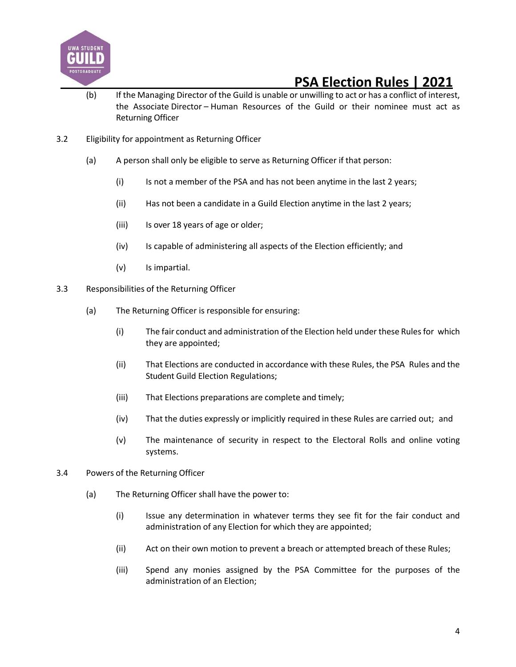

- (b) If the Managing Director of the Guild is unable or unwilling to act or has a conflict of interest, the Associate Director – Human Resources of the Guild or their nominee must act as Returning Officer
- 3.2 Eligibility for appointment as Returning Officer
	- (a) A person shall only be eligible to serve as Returning Officer if that person:
		- (i) Is not a member of the PSA and has not been anytime in the last 2 years;
		- (ii) Has not been a candidate in a Guild Election anytime in the last 2 years;
		- (iii) Is over 18 years of age or older;
		- (iv) Is capable of administering all aspects of the Election efficiently; and
		- (v) Is impartial.
- 3.3 Responsibilities of the Returning Officer
	- (a) The Returning Officer is responsible for ensuring:
		- (i) The fair conduct and administration of the Election held under these Rulesfor which they are appointed;
		- (ii) That Elections are conducted in accordance with these Rules, the PSA Rules and the Student Guild Election Regulations;
		- (iii) That Elections preparations are complete and timely;
		- (iv) That the duties expressly or implicitly required in these Rules are carried out; and
		- (v) The maintenance of security in respect to the Electoral Rolls and online voting systems.
- 3.4 Powers of the Returning Officer
	- (a) The Returning Officer shall have the power to:
		- (i) Issue any determination in whatever terms they see fit for the fair conduct and administration of any Election for which they are appointed;
		- (ii) Act on their own motion to prevent a breach or attempted breach of these Rules;
		- (iii) Spend any monies assigned by the PSA Committee for the purposes of the administration of an Election;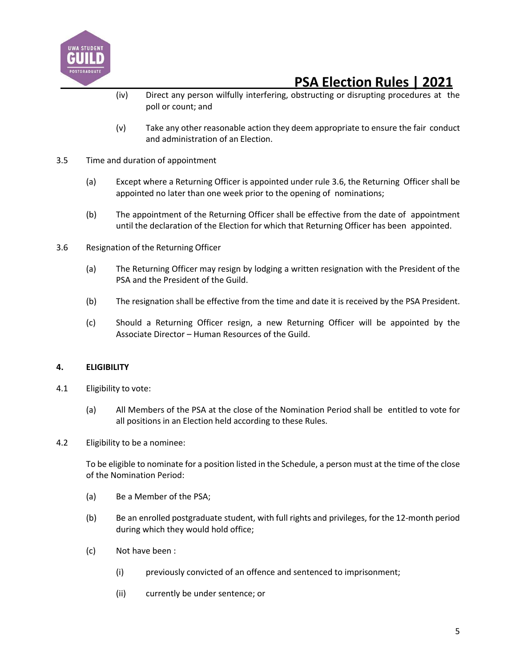

- (iv) Direct any person wilfully interfering, obstructing or disrupting procedures at the poll or count; and
- (v) Take any other reasonable action they deem appropriate to ensure the fair conduct and administration of an Election.
- 3.5 Time and duration of appointment
	- (a) Except where a Returning Officer is appointed under rule 3.6, the Returning Officer shall be appointed no later than one week prior to the opening of nominations;
	- (b) The appointment of the Returning Officer shall be effective from the date of appointment until the declaration of the Election for which that Returning Officer has been appointed.
- 3.6 Resignation of the Returning Officer
	- (a) The Returning Officer may resign by lodging a written resignation with the President of the PSA and the President of the Guild.
	- (b) The resignation shall be effective from the time and date it is received by the PSA President.
	- (c) Should a Returning Officer resign, a new Returning Officer will be appointed by the Associate Director – Human Resources of the Guild.

### **4. ELIGIBILITY**

- 4.1 Eligibility to vote:
	- (a) All Members of the PSA at the close of the Nomination Period shall be entitled to vote for all positions in an Election held according to these Rules.
- 4.2 Eligibility to be a nominee:

To be eligible to nominate for a position listed in the Schedule, a person must at the time of the close of the Nomination Period:

- (a) Be a Member of the PSA;
- (b) Be an enrolled postgraduate student, with full rights and privileges, for the 12-month period during which they would hold office;
- (c) Not have been :
	- (i) previously convicted of an offence and sentenced to imprisonment;
	- (ii) currently be under sentence; or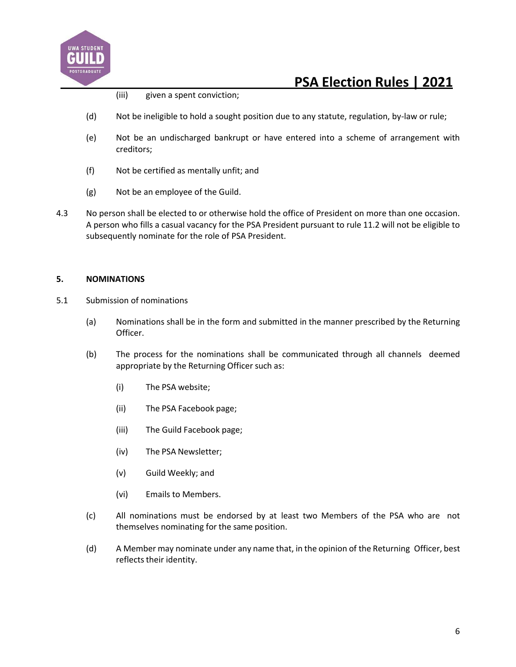

- (iii) given a spent conviction;
- (d) Not be ineligible to hold a sought position due to any statute, regulation, by-law or rule;
- (e) Not be an undischarged bankrupt or have entered into a scheme of arrangement with creditors;
- (f) Not be certified as mentally unfit; and
- (g) Not be an employee of the Guild.
- 4.3 No person shall be elected to or otherwise hold the office of President on more than one occasion. A person who fills a casual vacancy for the PSA President pursuant to rule 11.2 will not be eligible to subsequently nominate for the role of PSA President.

### **5. NOMINATIONS**

- 5.1 Submission of nominations
	- (a) Nominations shall be in the form and submitted in the manner prescribed by the Returning Officer.
	- (b) The process for the nominations shall be communicated through all channels deemed appropriate by the Returning Officer such as:
		- (i) The PSA website;
		- (ii) The PSA Facebook page;
		- (iii) The Guild Facebook page;
		- (iv) The PSA Newsletter;
		- (v) Guild Weekly; and
		- (vi) Emails to Members.
	- (c) All nominations must be endorsed by at least two Members of the PSA who are not themselves nominating for the same position.
	- (d) A Member may nominate under any name that, in the opinion of the Returning Officer, best reflects their identity.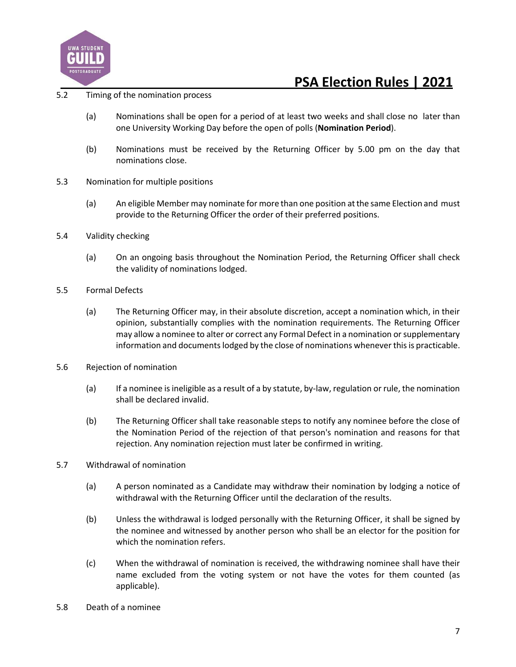

### 5.2 Timing of the nomination process

- (a) Nominations shall be open for a period of at least two weeks and shall close no later than one University Working Day before the open of polls (**Nomination Period**).
- (b) Nominations must be received by the Returning Officer by 5.00 pm on the day that nominations close.
- 5.3 Nomination for multiple positions
	- (a) An eligible Member may nominate for more than one position atthe same Election and must provide to the Returning Officer the order of their preferred positions.
- 5.4 Validity checking
	- (a) On an ongoing basis throughout the Nomination Period, the Returning Officer shall check the validity of nominations lodged.
- 5.5 Formal Defects
	- (a) The Returning Officer may, in their absolute discretion, accept a nomination which, in their opinion, substantially complies with the nomination requirements. The Returning Officer may allow a nominee to alter or correct any Formal Defect in a nomination or supplementary information and documents lodged by the close of nominations whenever this is practicable.
- 5.6 Rejection of nomination
	- (a) If a nominee is ineligible as a result of a by statute, by-law, regulation or rule, the nomination shall be declared invalid.
	- (b) The Returning Officer shall take reasonable steps to notify any nominee before the close of the Nomination Period of the rejection of that person's nomination and reasons for that rejection. Any nomination rejection must later be confirmed in writing.
- 5.7 Withdrawal of nomination
	- (a) A person nominated as a Candidate may withdraw their nomination by lodging a notice of withdrawal with the Returning Officer until the declaration of the results.
	- (b) Unless the withdrawal is lodged personally with the Returning Officer, it shall be signed by the nominee and witnessed by another person who shall be an elector for the position for which the nomination refers.
	- (c) When the withdrawal of nomination is received, the withdrawing nominee shall have their name excluded from the voting system or not have the votes for them counted (as applicable).
- 5.8 Death of a nominee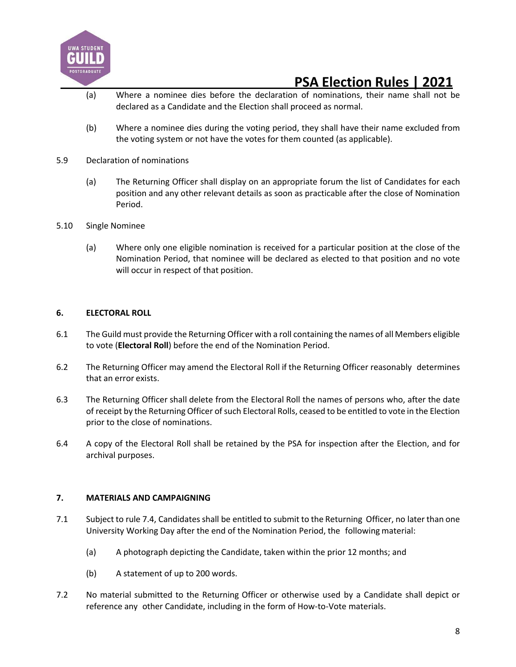

- (a) Where a nominee dies before the declaration of nominations, their name shall not be declared as a Candidate and the Election shall proceed as normal.
- (b) Where a nominee dies during the voting period, they shall have their name excluded from the voting system or not have the votes for them counted (as applicable).
- 5.9 Declaration of nominations
	- (a) The Returning Officer shall display on an appropriate forum the list of Candidates for each position and any other relevant details as soon as practicable after the close of Nomination Period.
- 5.10 Single Nominee
	- (a) Where only one eligible nomination is received for a particular position at the close of the Nomination Period, that nominee will be declared as elected to that position and no vote will occur in respect of that position.

#### **6. ELECTORAL ROLL**

- 6.1 The Guild must provide the Returning Officer with a roll containing the names of all Members eligible to vote (**Electoral Roll**) before the end of the Nomination Period.
- 6.2 The Returning Officer may amend the Electoral Roll if the Returning Officer reasonably determines that an error exists.
- 6.3 The Returning Officer shall delete from the Electoral Roll the names of persons who, after the date of receipt by the Returning Officer of such Electoral Rolls, ceased to be entitled to vote in the Election prior to the close of nominations.
- 6.4 A copy of the Electoral Roll shall be retained by the PSA for inspection after the Election, and for archival purposes.

#### **7. MATERIALS AND CAMPAIGNING**

- 7.1 Subject to rule 7.4, Candidates shall be entitled to submit to the Returning Officer, no later than one University Working Day after the end of the Nomination Period, the following material:
	- (a) A photograph depicting the Candidate, taken within the prior 12 months; and
	- (b) A statement of up to 200 words.
- 7.2 No material submitted to the Returning Officer or otherwise used by a Candidate shall depict or reference any other Candidate, including in the form of How-to-Vote materials.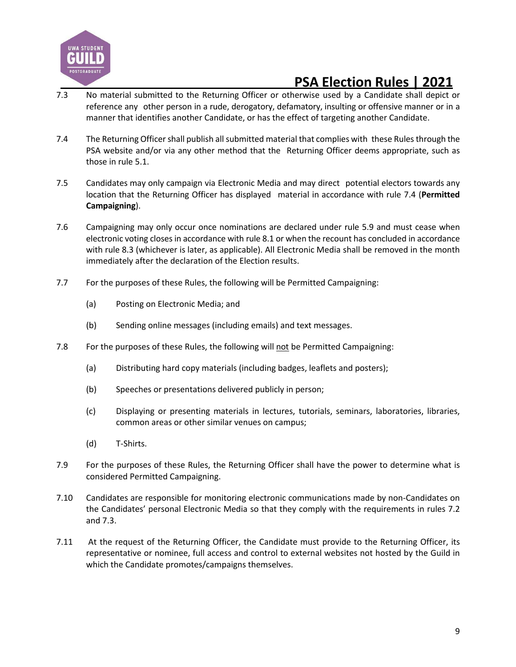

- 7.3 No material submitted to the Returning Officer or otherwise used by a Candidate shall depict or reference any other person in a rude, derogatory, defamatory, insulting or offensive manner or in a manner that identifies another Candidate, or has the effect of targeting another Candidate.
- 7.4 The Returning Officer shall publish all submitted material that complies with these Rules through the PSA website and/or via any other method that the Returning Officer deems appropriate, such as those in rule 5.1.
- 7.5 Candidates may only campaign via Electronic Media and may direct potential electors towards any location that the Returning Officer has displayed material in accordance with rule 7.4 (**Permitted Campaigning**).
- 7.6 Campaigning may only occur once nominations are declared under rule 5.9 and must cease when electronic voting closes in accordance with rule 8.1 or when the recount has concluded in accordance with rule 8.3 (whichever is later, as applicable). All Electronic Media shall be removed in the month immediately after the declaration of the Election results.
- 7.7 For the purposes of these Rules, the following will be Permitted Campaigning:
	- (a) Posting on Electronic Media; and
	- (b) Sending online messages (including emails) and text messages.
- 7.8 For the purposes of these Rules, the following will not be Permitted Campaigning:
	- (a) Distributing hard copy materials (including badges, leaflets and posters);
	- (b) Speeches or presentations delivered publicly in person;
	- (c) Displaying or presenting materials in lectures, tutorials, seminars, laboratories, libraries, common areas or other similar venues on campus;
	- (d) T-Shirts.
- 7.9 For the purposes of these Rules, the Returning Officer shall have the power to determine what is considered Permitted Campaigning.
- 7.10 Candidates are responsible for monitoring electronic communications made by non-Candidates on the Candidates' personal Electronic Media so that they comply with the requirements in rules 7.2 and 7.3.
- 7.11 At the request of the Returning Officer, the Candidate must provide to the Returning Officer, its representative or nominee, full access and control to external websites not hosted by the Guild in which the Candidate promotes/campaigns themselves.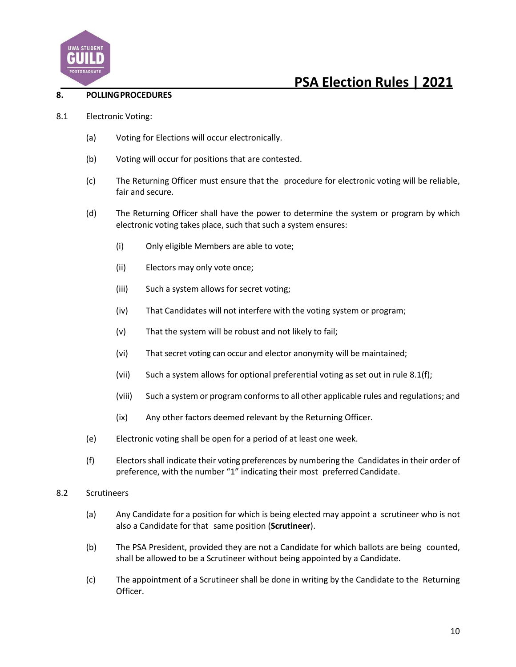

### **8. POLLINGPROCEDURES**

- 8.1 Electronic Voting:
	- (a) Voting for Elections will occur electronically.
	- (b) Voting will occur for positions that are contested.
	- (c) The Returning Officer must ensure that the procedure for electronic voting will be reliable, fair and secure.
	- (d) The Returning Officer shall have the power to determine the system or program by which electronic voting takes place, such that such a system ensures:
		- (i) Only eligible Members are able to vote;
		- (ii) Electors may only vote once;
		- (iii) Such a system allows for secret voting;
		- (iv) That Candidates will not interfere with the voting system or program;
		- (v) That the system will be robust and not likely to fail;
		- (vi) That secret voting can occur and elector anonymity will be maintained;
		- (vii) Such a system allows for optional preferential voting as set out in rule 8.1(f);
		- (viii) Such a system or program conformsto all other applicable rules and regulations; and
		- (ix) Any other factors deemed relevant by the Returning Officer.
	- (e) Electronic voting shall be open for a period of at least one week.
	- (f) Electorsshall indicate their voting preferences by numbering the Candidates in their order of preference, with the number "1" indicating their most preferred Candidate.
- 8.2 Scrutineers
	- (a) Any Candidate for a position for which is being elected may appoint a scrutineer who is not also a Candidate for that same position (**Scrutineer**).
	- (b) The PSA President, provided they are not a Candidate for which ballots are being counted, shall be allowed to be a Scrutineer without being appointed by a Candidate.
	- (c) The appointment of a Scrutineer shall be done in writing by the Candidate to the Returning Officer.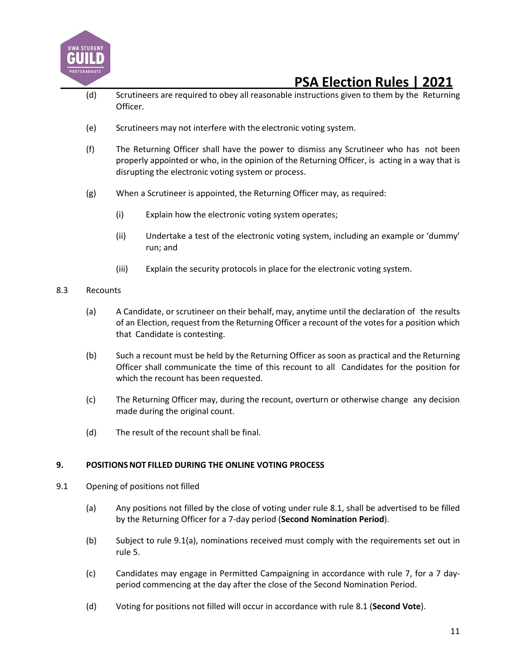

- (d) Scrutineers are required to obey all reasonable instructions given to them by the Returning Officer.
- (e) Scrutineers may not interfere with the electronic voting system.
- (f) The Returning Officer shall have the power to dismiss any Scrutineer who has not been properly appointed or who, in the opinion of the Returning Officer, is acting in a way that is disrupting the electronic voting system or process.
- (g) When a Scrutineer is appointed, the Returning Officer may, as required:
	- (i) Explain how the electronic voting system operates;
	- (ii) Undertake a test of the electronic voting system, including an example or 'dummy' run; and
	- (iii) Explain the security protocols in place for the electronic voting system.
- 8.3 Recounts
	- (a) A Candidate, or scrutineer on their behalf, may, anytime until the declaration of the results of an Election, request from the Returning Officer a recount of the votesfor a position which that Candidate is contesting.
	- (b) Such a recount must be held by the Returning Officer as soon as practical and the Returning Officer shall communicate the time of this recount to all Candidates for the position for which the recount has been requested.
	- (c) The Returning Officer may, during the recount, overturn or otherwise change any decision made during the original count.
	- (d) The result of the recount shall be final.

### **9. POSITIONSNOT FILLED DURING THE ONLINE VOTING PROCESS**

- 9.1 Opening of positions not filled
	- (a) Any positions not filled by the close of voting under rule 8.1, shall be advertised to be filled by the Returning Officer for a 7-day period (**Second Nomination Period**).
	- (b) Subject to rule 9.1(a), nominations received must comply with the requirements set out in rule 5.
	- (c) Candidates may engage in Permitted Campaigning in accordance with rule 7, for a 7 dayperiod commencing at the day after the close of the Second Nomination Period.
	- (d) Voting for positions not filled will occur in accordance with rule 8.1 (**Second Vote**).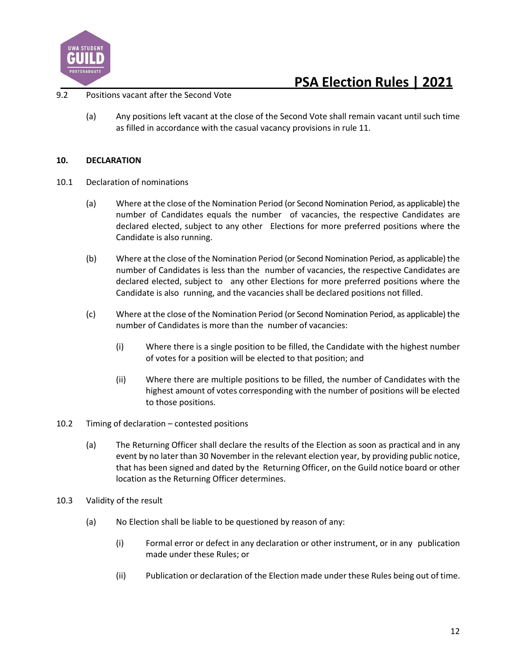

### 9.2 Positions vacant after the Second Vote

(a) Any positions left vacant at the close of the Second Vote shall remain vacant until such time as filled in accordance with the casual vacancy provisions in rule 11.

#### **10. DECLARATION**

- 10.1 Declaration of nominations
	- (a) Where at the close of the Nomination Period (or Second Nomination Period, as applicable) the number of Candidates equals the number of vacancies, the respective Candidates are declared elected, subject to any other Elections for more preferred positions where the Candidate is also running.
	- (b) Where at the close of the Nomination Period (or Second Nomination Period, as applicable) the number of Candidates is less than the number of vacancies, the respective Candidates are declared elected, subject to any other Elections for more preferred positions where the Candidate is also running, and the vacancies shall be declared positions not filled.
	- (c) Where at the close of the Nomination Period (or Second Nomination Period, as applicable) the number of Candidates is more than the number of vacancies:
		- (i) Where there is a single position to be filled, the Candidate with the highest number of votes for a position will be elected to that position; and
		- (ii) Where there are multiple positions to be filled, the number of Candidates with the highest amount of votes corresponding with the number of positions will be elected to those positions.
- 10.2 Timing of declaration contested positions
	- (a) The Returning Officer shall declare the results of the Election as soon as practical and in any event by no later than 30 November in the relevant election year, by providing public notice, that has been signed and dated by the Returning Officer, on the Guild notice board or other location as the Returning Officer determines.
- 10.3 Validity of the result
	- (a) No Election shall be liable to be questioned by reason of any:
		- (i) Formal error or defect in any declaration or other instrument, or in any publication made under these Rules; or
		- (ii) Publication or declaration of the Election made under these Rules being out of time.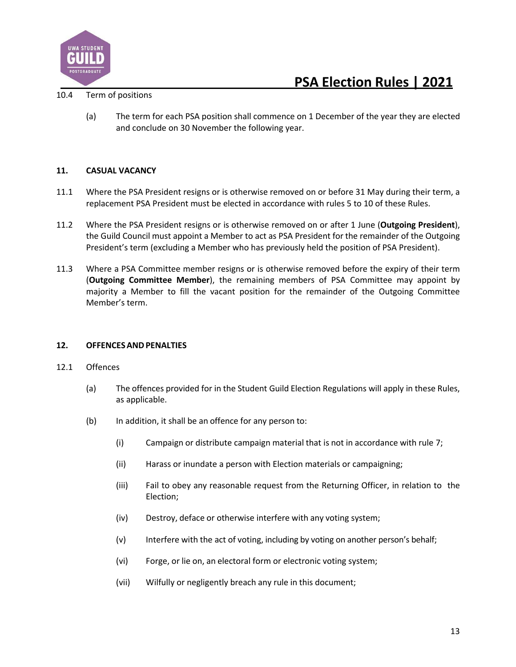

#### 10.4 Term of positions

(a) The term for each PSA position shall commence on 1 December of the year they are elected and conclude on 30 November the following year.

### **11. CASUAL VACANCY**

- 11.1 Where the PSA President resigns or is otherwise removed on or before 31 May during their term, a replacement PSA President must be elected in accordance with rules 5 to 10 of these Rules.
- 11.2 Where the PSA President resigns or is otherwise removed on or after 1 June (**Outgoing President**), the Guild Council must appoint a Member to act as PSA President for the remainder of the Outgoing President's term (excluding a Member who has previously held the position of PSA President).
- 11.3 Where a PSA Committee member resigns or is otherwise removed before the expiry of their term (**Outgoing Committee Member**), the remaining members of PSA Committee may appoint by majority a Member to fill the vacant position for the remainder of the Outgoing Committee Member's term.

#### **12. OFFENCESANDPENALTIES**

#### 12.1 Offences

- (a) The offences provided for in the Student Guild Election Regulations will apply in these Rules, as applicable.
- (b) In addition, it shall be an offence for any person to:
	- (i) Campaign or distribute campaign material that is not in accordance with rule 7;
	- (ii) Harass or inundate a person with Election materials or campaigning;
	- (iii) Fail to obey any reasonable request from the Returning Officer, in relation to the Election;
	- (iv) Destroy, deface or otherwise interfere with any voting system;
	- (v) Interfere with the act of voting, including by voting on another person's behalf;
	- (vi) Forge, or lie on, an electoral form or electronic voting system;
	- (vii) Wilfully or negligently breach any rule in this document;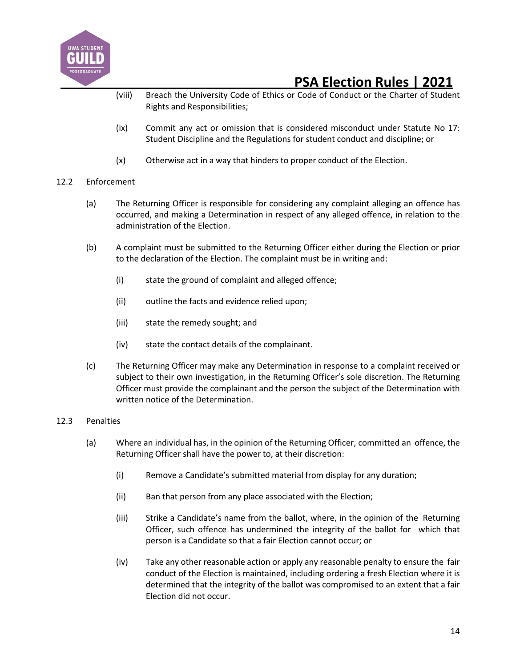

- (viii) Breach the University Code of Ethics or Code of Conduct or the Charter of Student Rights and Responsibilities;
- (ix) Commit any act or omission that is considered misconduct under Statute No 17: Student Discipline and the Regulations for student conduct and discipline; or
- (x) Otherwise act in a way that hinders to proper conduct of the Election.

### 12.2 Enforcement

- (a) The Returning Officer is responsible for considering any complaint alleging an offence has occurred, and making a Determination in respect of any alleged offence, in relation to the administration of the Election.
- (b) A complaint must be submitted to the Returning Officer either during the Election or prior to the declaration of the Election. The complaint must be in writing and:
	- (i) state the ground of complaint and alleged offence;
	- (ii) outline the facts and evidence relied upon;
	- (iii) state the remedy sought; and
	- (iv) state the contact details of the complainant.
- (c) The Returning Officer may make any Determination in response to a complaint received or subject to their own investigation, in the Returning Officer's sole discretion. The Returning Officer must provide the complainant and the person the subject of the Determination with written notice of the Determination.

### 12.3 Penalties

- (a) Where an individual has, in the opinion of the Returning Officer, committed an offence, the Returning Officer shall have the power to, at their discretion:
	- (i) Remove a Candidate's submitted material from display for any duration;
	- (ii) Ban that person from any place associated with the Election;
	- (iii) Strike a Candidate's name from the ballot, where, in the opinion of the Returning Officer, such offence has undermined the integrity of the ballot for which that person is a Candidate so that a fair Election cannot occur; or
	- (iv) Take any other reasonable action or apply any reasonable penalty to ensure the fair conduct of the Election is maintained, including ordering a fresh Election where it is determined that the integrity of the ballot was compromised to an extent that a fair Election did not occur.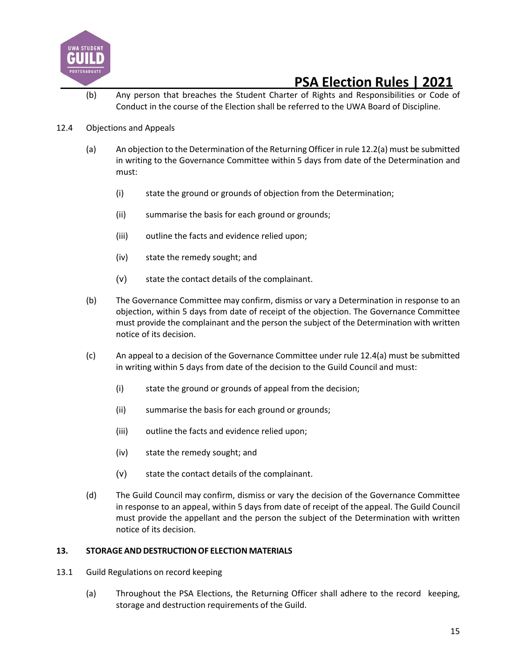

(b) Any person that breaches the Student Charter of Rights and Responsibilities or Code of Conduct in the course of the Election shall be referred to the UWA Board of Discipline.

### 12.4 Objections and Appeals

- (a) An objection to the Determination of the Returning Officer in rule 12.2(a) must be submitted in writing to the Governance Committee within 5 days from date of the Determination and must:
	- (i) state the ground or grounds of objection from the Determination;
	- (ii) summarise the basis for each ground or grounds;
	- (iii) outline the facts and evidence relied upon;
	- (iv) state the remedy sought; and
	- (v) state the contact details of the complainant.
- (b) The Governance Committee may confirm, dismiss or vary a Determination in response to an objection, within 5 days from date of receipt of the objection. The Governance Committee must provide the complainant and the person the subject of the Determination with written notice of its decision.
- (c) An appeal to a decision of the Governance Committee under rule 12.4(a) must be submitted in writing within 5 days from date of the decision to the Guild Council and must:
	- (i) state the ground or grounds of appeal from the decision;
	- (ii) summarise the basis for each ground or grounds;
	- (iii) outline the facts and evidence relied upon;
	- (iv) state the remedy sought; and
	- (v) state the contact details of the complainant.
- (d) The Guild Council may confirm, dismiss or vary the decision of the Governance Committee in response to an appeal, within 5 days from date of receipt of the appeal. The Guild Council must provide the appellant and the person the subject of the Determination with written notice of its decision.

#### 13. STORAGE AND DESTRUCTION OF ELECTION MATERIALS

- 13.1 Guild Regulations on record keeping
	- (a) Throughout the PSA Elections, the Returning Officer shall adhere to the record keeping, storage and destruction requirements of the Guild.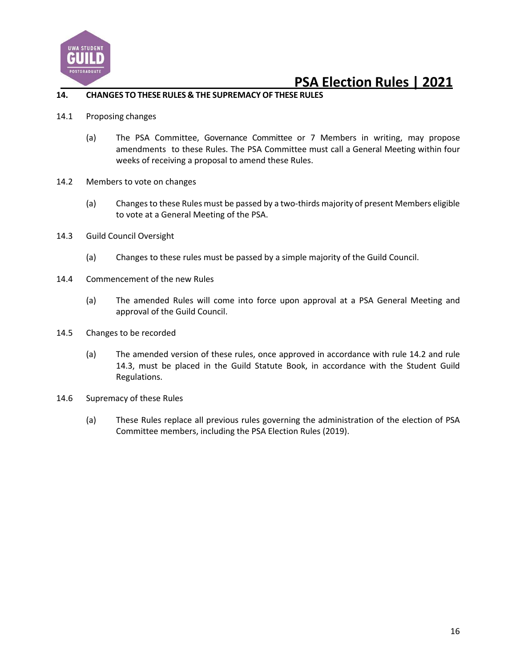

#### **14. CHANGES TO THESE RULES & THE SUPREMACYOF THESE RULES**

- 14.1 Proposing changes
	- (a) The PSA Committee, Governance Committee or 7 Members in writing, may propose amendments to these Rules. The PSA Committee must call a General Meeting within four weeks of receiving a proposal to amend these Rules.
- 14.2 Members to vote on changes
	- (a) Changes to these Rules must be passed by a two-thirds majority of present Members eligible to vote at a General Meeting of the PSA.
- 14.3 Guild Council Oversight
	- (a) Changes to these rules must be passed by a simple majority of the Guild Council.
- 14.4 Commencement of the new Rules
	- (a) The amended Rules will come into force upon approval at a PSA General Meeting and approval of the Guild Council.
- 14.5 Changes to be recorded
	- (a) The amended version of these rules, once approved in accordance with rule 14.2 and rule 14.3, must be placed in the Guild Statute Book, in accordance with the Student Guild Regulations.
- 14.6 Supremacy of these Rules
	- (a) These Rules replace all previous rules governing the administration of the election of PSA Committee members, including the PSA Election Rules (2019).